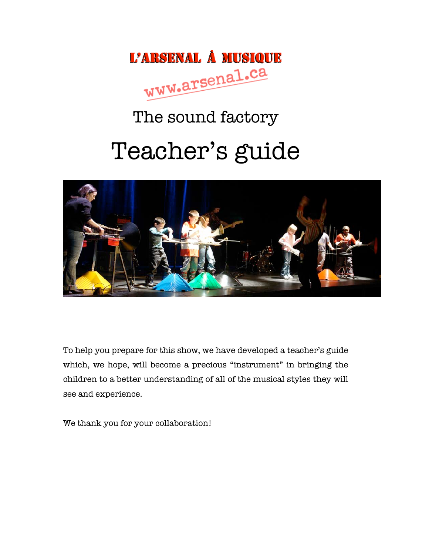

# The sound factory

# Teacher's guide



To help you prepare for this show, we have developed a teacher's guide which, we hope, will become a precious "instrument" in bringing the children to a better understanding of all of the musical styles they will see and experience.

We thank you for your collaboration!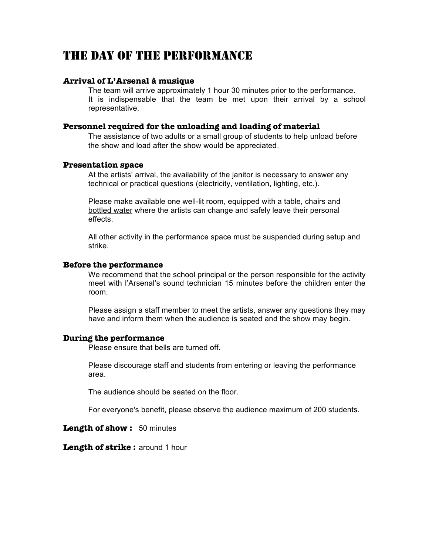### THE DAY OF THE PERFORMANCE

#### **Arrival of L'Arsenal à musique**

The team will arrive approximately 1 hour 30 minutes prior to the performance. It is indispensable that the team be met upon their arrival by a school representative.

#### **Personnel required for the unloading and loading of material**

The assistance of two adults or a small group of students to help unload before the show and load after the show would be appreciated.

#### **Presentation space**

At the artists' arrival, the availability of the janitor is necessary to answer any technical or practical questions (electricity, ventilation, lighting, etc.).

Please make available one well-lit room, equipped with a table, chairs and bottled water where the artists can change and safely leave their personal effects.

All other activity in the performance space must be suspended during setup and strike.

#### **Before the performance**

We recommend that the school principal or the person responsible for the activity meet with l'Arsenal's sound technician 15 minutes before the children enter the room.

Please assign a staff member to meet the artists, answer any questions they may have and inform them when the audience is seated and the show may begin.

#### **During the performance**

Please ensure that bells are turned off.

Please discourage staff and students from entering or leaving the performance area.

The audience should be seated on the floor.

For everyone's benefit, please observe the audience maximum of 200 students.

**Length of show :** 50 minutes

**Length of strike :** around 1 hour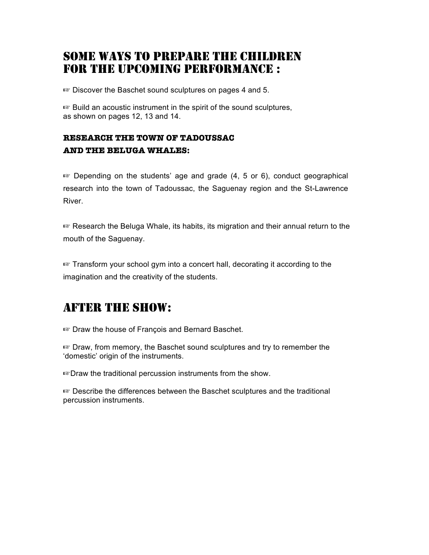### SOME WAYS TO PREPARE THE CHILDREN FOR THE UPCOMING PERFORMANCE :

☞ Discover the Baschet sound sculptures on pages 4 and 5.

☞ Build an acoustic instrument in the spirit of the sound sculptures, as shown on pages 12, 13 and 14.

### **RESEARCH THE TOWN OF TADOUSSAC AND THE BELUGA WHALES:**

☞ Depending on the students' age and grade (4, 5 or 6), conduct geographical research into the town of Tadoussac, the Saguenay region and the St-Lawrence River.

☞ Research the Beluga Whale, its habits, its migration and their annual return to the mouth of the Saguenay.

☞ Transform your school gym into a concert hall, decorating it according to the imagination and the creativity of the students.

### AFTER THE SHOW:

☞ Draw the house of François and Bernard Baschet.

☞ Draw, from memory, the Baschet sound sculptures and try to remember the 'domestic' origin of the instruments.

☞Draw the traditional percussion instruments from the show.

☞ Describe the differences between the Baschet sculptures and the traditional percussion instruments.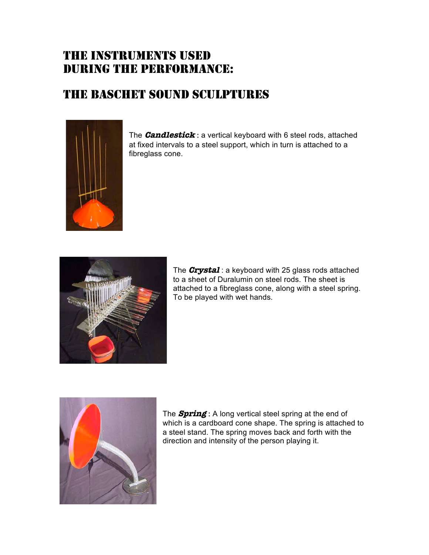### THE INSTRUMENTS USED DURING THE PERFORMANCE:

### THE BASCHET SOUND SCULPTURES



The **Candlestick** : a vertical keyboard with 6 steel rods, attached at fixed intervals to a steel support, which in turn is attached to a fibreglass cone.



The **Crystal** : a keyboard with 25 glass rods attached to a sheet of Duralumin on steel rods. The sheet is attached to a fibreglass cone, along with a steel spring. To be played with wet hands.



The **Spring** : A long vertical steel spring at the end of which is a cardboard cone shape. The spring is attached to a steel stand. The spring moves back and forth with the direction and intensity of the person playing it.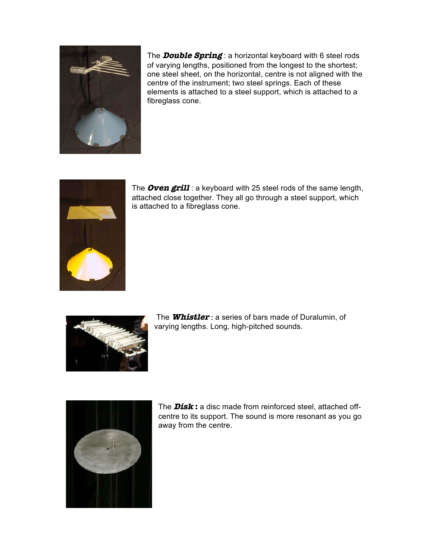

The **Double Spring** : a horizontal keyboard with 6 steel rods of varying lengths, positioned from the longest to the shortest; one steel sheet, on the horizontal, centre is not aligned with the centre of the instrument; two steel springs. Each of these elements is attached to a steel support, which is attached to a fibreglass cone.



The **Oven grill** : a keyboard with 25 steel rods of the same length, attached close together. They all go through a steel support, which is attached to a fibreglass cone.



The **Whistler** : a series of bars made of Duralumin, of varying lengths. Long, high-pitched sounds.



The **Disk :** a disc made from reinforced steel, attached offcentre to its support. The sound is more resonant as you go away from the centre.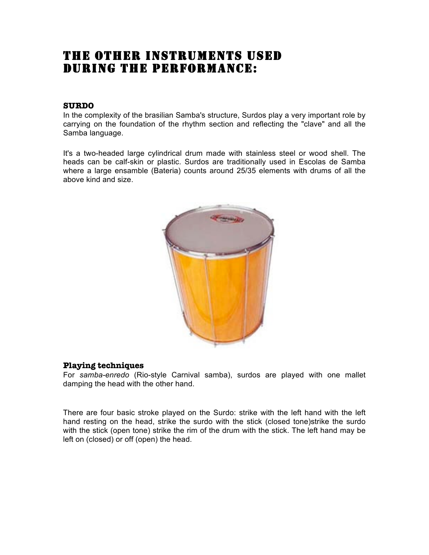### THE OTHER INSTRUMENTS USED DURING THE PERFORMANCE:

#### **SURDO**

In the complexity of the brasilian Samba's structure, Surdos play a very important role by carrying on the foundation of the rhythm section and reflecting the "clave" and all the Samba language.

It's a two-headed large cylindrical drum made with stainless steel or wood shell. The heads can be calf-skin or plastic. Surdos are traditionally used in Escolas de Samba where a large ensamble (Bateria) counts around 25/35 elements with drums of all the above kind and size.



#### **Playing techniques**

For *samba-enredo* (Rio-style Carnival samba), surdos are played with one mallet damping the head with the other hand.

There are four basic stroke played on the Surdo: strike with the left hand with the left hand resting on the head, strike the surdo with the stick (closed tone)strike the surdo with the stick (open tone) strike the rim of the drum with the stick. The left hand may be left on (closed) or off (open) the head.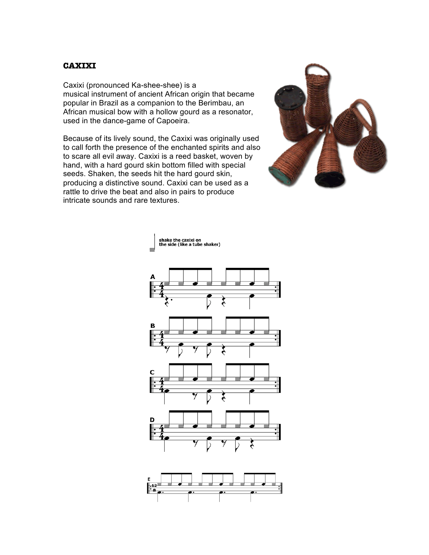#### **CAXIXI**

Caxixi (pronounced Ka-shee-shee) is a musical instrument of ancient African origin that became popular in Brazil as a companion to the Berimbau, an African musical bow with a hollow gourd as a resonator, used in the dance-game of Capoeira.

Because of its lively sound, the Caxixi was originally used to call forth the presence of the enchanted spirits and also to scare all evil away. Caxixi is a reed basket, woven by hand, with a hard gourd skin bottom filled with special seeds. Shaken, the seeds hit the hard gourd skin, producing a distinctive sound. Caxixi can be used as a rattle to drive the beat and also in pairs to produce intricate sounds and rare textures.





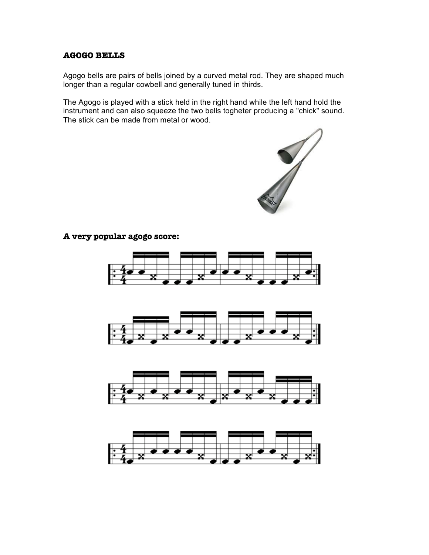#### **AGOGO BELLS**

Agogo bells are pairs of bells joined by a curved metal rod. They are shaped much longer than a regular cowbell and generally tuned in thirds.

The Agogo is played with a stick held in the right hand while the left hand hold the instrument and can also squeeze the two bells togheter producing a "chick" sound. The stick can be made from metal or wood.



**A very popular agogo score:** 

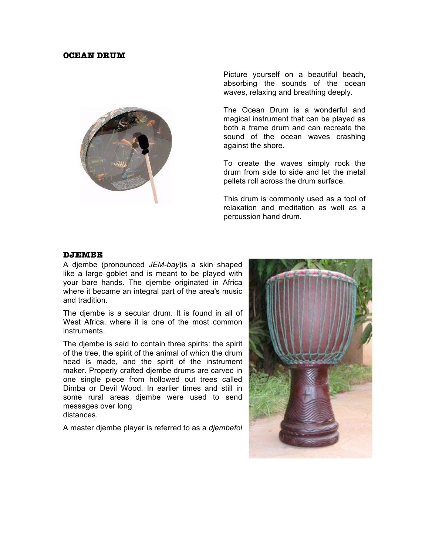#### **OCEAN DRUM**



Picture yourself on a beautiful beach, absorbing the sounds of the ocean waves, relaxing and breathing deeply.

The Ocean Drum is a wonderful and magical instrument that can be played as both a frame drum and can recreate the sound of the ocean waves crashing against the shore.

To create the waves simply rock the drum from side to side and let the metal pellets roll across the drum surface.

This drum is commonly used as a tool of relaxation and meditation as well as a percussion hand drum.

#### **DJEMBE**

A djembe (pronounced *JEM-bay*)is a skin shaped like a large goblet and is meant to be played with your bare hands. The djembe originated in Africa where it became an integral part of the area's music and tradition.

The djembe is a secular drum. It is found in all of West Africa, where it is one of the most common instruments.

The djembe is said to contain three spirits: the spirit of the tree, the spirit of the animal of which the drum head is made, and the spirit of the instrument maker. Properly crafted djembe drums are carved in one single piece from hollowed out trees called Dimba or Devil Wood. In earlier times and still in some rural areas djembe were used to send messages over long distances.

A master djembe player is referred to as a *djembefol*

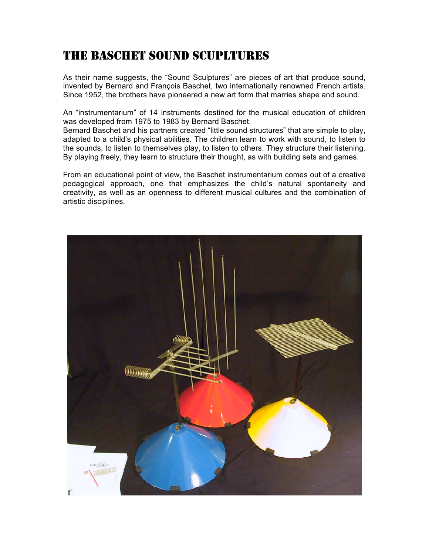### THE BASCHET SOUND SCUPLTURES

As their name suggests, the "Sound Sculptures" are pieces of art that produce sound, invented by Bernard and François Baschet, two internationally renowned French artists. Since 1952, the brothers have pioneered a new art form that marries shape and sound.

An "instrumentarium" of 14 instruments destined for the musical education of children was developed from 1975 to 1983 by Bernard Baschet.

Bernard Baschet and his partners created "little sound structures" that are simple to play, adapted to a child's physical abilities. The children learn to work with sound, to listen to the sounds, to listen to themselves play, to listen to others. They structure their listening. By playing freely, they learn to structure their thought, as with building sets and games.

From an educational point of view, the Baschet instrumentarium comes out of a creative pedagogical approach, one that emphasizes the child's natural spontaneity and creativity, as well as an openness to different musical cultures and the combination of artistic disciplines.

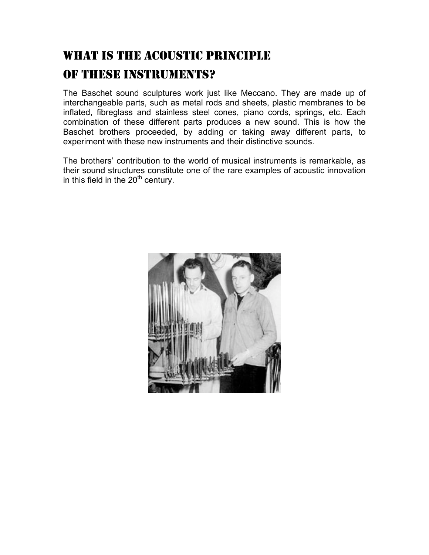## WHAT IS THE ACOUSTIC PRINCIPLE OF THESE INSTRUMENTS?

The Baschet sound sculptures work just like Meccano. They are made up of interchangeable parts, such as metal rods and sheets, plastic membranes to be inflated, fibreglass and stainless steel cones, piano cords, springs, etc. Each combination of these different parts produces a new sound. This is how the Baschet brothers proceeded, by adding or taking away different parts, to experiment with these new instruments and their distinctive sounds.

The brothers' contribution to the world of musical instruments is remarkable, as their sound structures constitute one of the rare examples of acoustic innovation in this field in the  $20<sup>th</sup>$  century.

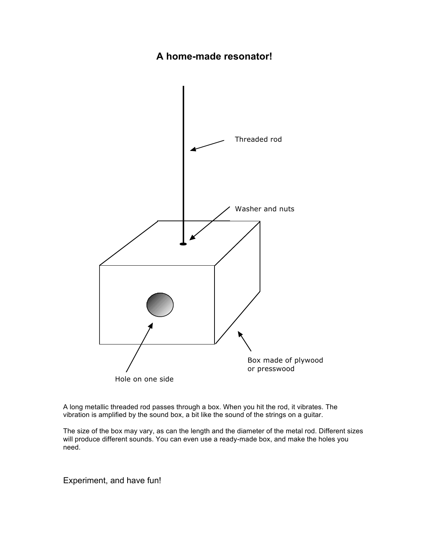### **A home-made resonator!**



A long metallic threaded rod passes through a box. When you hit the rod, it vibrates. The vibration is amplified by the sound box, a bit like the sound of the strings on a guitar.

The size of the box may vary, as can the length and the diameter of the metal rod. Different sizes will produce different sounds. You can even use a ready-made box, and make the holes you need.

Experiment, and have fun!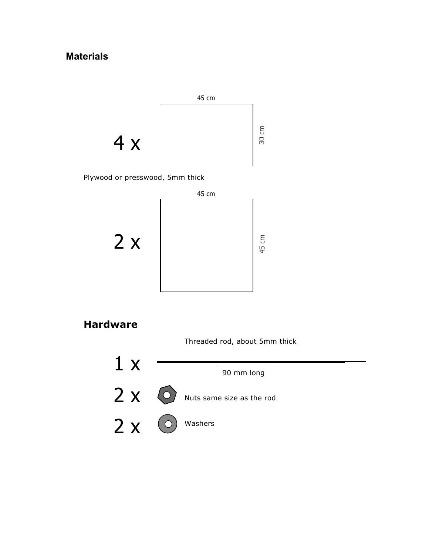### **Materials**

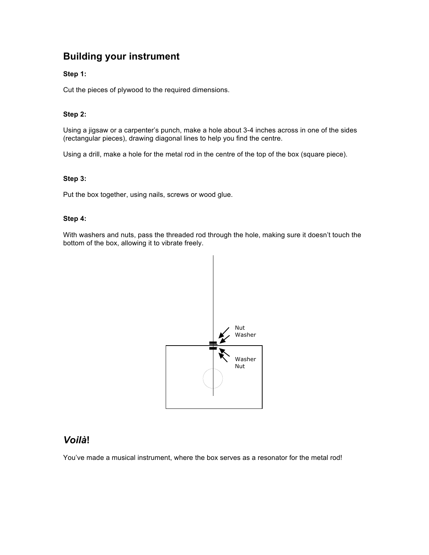### **Building your instrument**

#### **Step 1:**

Cut the pieces of plywood to the required dimensions.

#### **Step 2:**

Using a jigsaw or a carpenter's punch, make a hole about 3-4 inches across in one of the sides (rectangular pieces), drawing diagonal lines to help you find the centre.

Using a drill, make a hole for the metal rod in the centre of the top of the box (square piece).

#### **Step 3:**

Put the box together, using nails, screws or wood glue.

#### **Step 4:**

With washers and nuts, pass the threaded rod through the hole, making sure it doesn't touch the bottom of the box, allowing it to vibrate freely.



#### *Voilà***!**

You've made a musical instrument, where the box serves as a resonator for the metal rod!